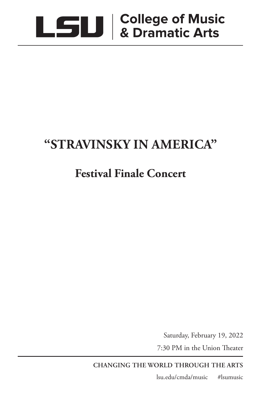

# **"STRAVINSKY IN AMERICA"**

## **Festival Finale Concert**

Saturday, February 19, 2022

7:30 PM in the Union Theater

**CHANGING THE WORLD THROUGH THE ARTS**

lsu.edu/cmda/music #lsumusic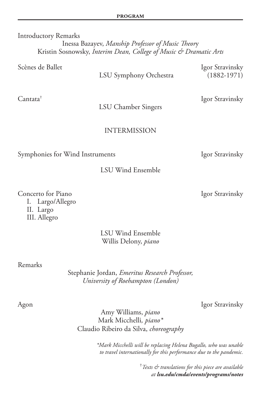Introductory Remarks Inessa Bazayev, *Manship Professor of Music Theor*y Kristin Sosnowsky, *Interim Dean, College of Music & Dramatic Arts*

Scènes de Ballet Igor Stravinsky

LSU Symphony Orchestra (1882-1971)

Cantata† Igor Stravinsky

LSU Chamber Singers

## INTERMISSION

Symphonies for Wind Instruments Igor Stravinsky

LSU Wind Ensemble

Concerto for Piano **Igor Stravinsky**  I. Largo/Allegro II. Largo III. Allegro

> LSU Wind Ensemble Willis Delony, *piano*

## Remarks

Stephanie Jordan, *Emeritus Research Professor, University of Roehampton (London)*

Agon Igor Stravinsky

Amy Williams, *piano* Mark Micchelli*, piano\** Claudio Ribeiro da Silva, *choreography*

> *\*Mark Micchelli will be replacing Helena Bugallo, who was unable to travel internationally for this performance due to the pandemic.*

> > † *Texts & translations for this piece are available at lsu.edu/cmda/events/programs/notes*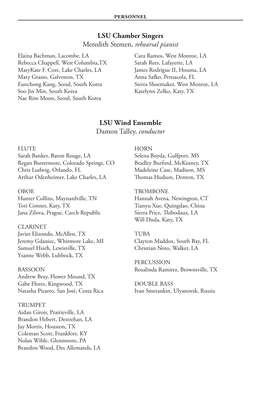## **LSU Chamber Singers**

Meredith Stemen, *rehearsal pianist*

Elaina Bachman, Lacombe, LA Rebecca Chappell, West Columbia,TX MaryKate F. Core, Lake Charles, LA Mary Grasso, Galveston, TX Eunchong Kang, Seoul, South Korea Soo Jin Min, South Korea Nae Rim Moon, Seoul, South Korea

Cara Ramos, West Monroe, LA Sarah Rees, Lafayette, LA James Rodrigue II, Houma, LA Anna Safko, Pensacola, FL Sierra Shoemaker, West Monroe, LA Katelynn Zelko, Katy, TX

## **LSU Wind Ensemble**

Damon Talley, *conductor*

## FLUTE

Sarah Banker, Baton Rouge, LA Regan Buttermore, Colorado Springs, CO Chris Ludwig, Orlando, FL Arthur Odenheimer, Lake Charles, LA

## OBOE

Hunter Collins, Maynardville, TN Tori Conner, Katy, TX Jana Zilova, Prague, Czech Republic

CLARINET Javier Elizondo, McAllen, TX Jeremy Gdaniec, Whitmore Lake, MI Samuel Hsieh, Lewisville, TX Ysanne Webb, Lubbock, TX

BASSOON Andrew Bray, Flower Mound, TX Gabe Flores, Kingwood, TX Natasha Pizarro, San José, Costa Rica

TRUMPET Aidan Giroir, Prairieville, LA Brandon Hebert, Destrehan, LA Jay Morris, Houston, TX Coleman Scott, Frankfort, KY Nolan Wible, Glenmoore, PA Brandon Wood, Des Allemands, LA HORN Selena Boyda, Gulfport, MS Bradley Burford, McKinney, TX Madeleine Case, Madison, MS Thomas Hudson, Denton, TX

**TROMBONE** Hannah Avena, Newington, CT Tianyu Xue, Quingdao, China Sierra Price, Thibodaux, LA Will Duda, Katy, TX

TUBA Clayton Maddox, South Bay, FL Christian Noto, Walker, LA

PERCUSSION Rosalinda Ramirez, Brownsville, TX

DOUBLE BASS Ivan Smetankin, Ulyanovsk, Russia